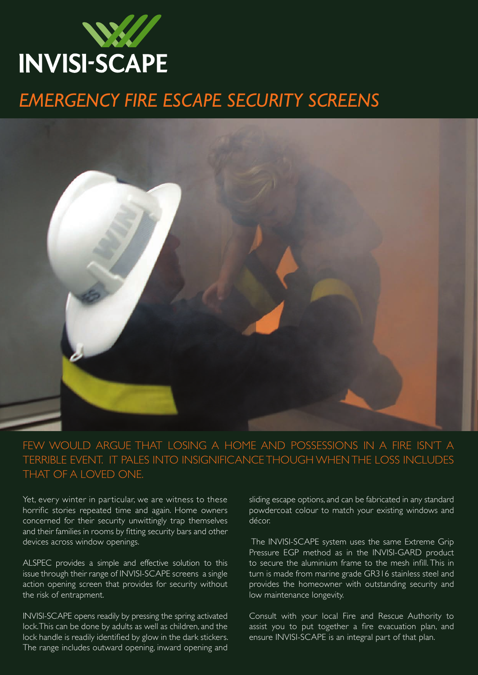

## *EMERGENCY FIRE ESCAPE SECURITY SCREENS*



FECIONIC IN A FIDE ICNIT A FEW WOULD ARGUE THAT LOSING A HOME AND POSSESSIONS IN A FIRE ISN'T A TERRIBLE EVENT. IT PALES INTO INSIGNIFICANCE THOUGH WHEN THE LOSS INCLUDES that of a loved one.

Yet, every winter in particular, we are witness to these horrific stories repeated time and again. Home owners concerned for their security unwittingly trap themselves and their families in rooms by fitting security bars and other devices across window openings.

ALSPEC provides a simple and effective solution to this issue through their range of INVISI-SCAPE screens a single action opening screen that provides for security without the risk of entrapment.

INVISI-SCAPE opens readily by pressing the spring activated lock. This can be done by adults as well as children, and the lock handle is readily identified by glow in the dark stickers. The range includes outward opening, inward opening and

**Marine Grade 316 vs 304?** sliding escape options, and can be fabricated in any standard to match your existing windows and resistance to that of the 304 grade. powdercoat colour to match your existing windows and décor.

The INVISI-SCAPE system uses the same Extreme Grip Pressure EGP method as in the INVISI-GARD product Fressure EST method as in the invital State product turn is made from marine grade GR316 stainless steel and its strength from the Ultra High Tensile Wireless and Ultra High Tensile Wireless and Ultra High Tensile Wireless provides the homeowner with outstanding security and low maintenance longevity. They are soft or of low tensile or of low tensile  $\sim$ 

Consult with your local Fire and Rescue Authority to assist you to put together a fire evacuation plan, and ensure INVISI-SCAPE is an integral part of that plan.